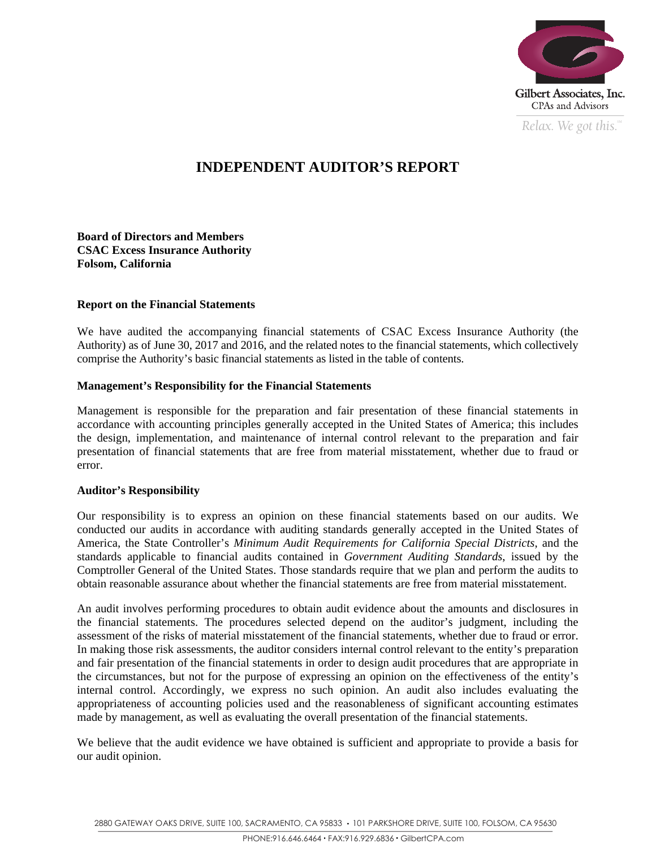

*Relax. We got this.*  $\alpha$ 

# **INDEPENDENT AUDITOR'S REPORT**

## **Board of Directors and Members CSAC Excess Insurance Authority Folsom, California**

#### **Report on the Financial Statements**

We have audited the accompanying financial statements of CSAC Excess Insurance Authority (the Authority) as of June 30, 2017 and 2016, and the related notes to the financial statements, which collectively comprise the Authority's basic financial statements as listed in the table of contents.

### **Management's Responsibility for the Financial Statements**

Management is responsible for the preparation and fair presentation of these financial statements in accordance with accounting principles generally accepted in the United States of America; this includes the design, implementation, and maintenance of internal control relevant to the preparation and fair presentation of financial statements that are free from material misstatement, whether due to fraud or error.

#### **Auditor's Responsibility**

Our responsibility is to express an opinion on these financial statements based on our audits. We conducted our audits in accordance with auditing standards generally accepted in the United States of America, the State Controller's *Minimum Audit Requirements for California Special Districts*, and the standards applicable to financial audits contained in *Government Auditing Standards*, issued by the Comptroller General of the United States. Those standards require that we plan and perform the audits to obtain reasonable assurance about whether the financial statements are free from material misstatement.

An audit involves performing procedures to obtain audit evidence about the amounts and disclosures in the financial statements. The procedures selected depend on the auditor's judgment, including the assessment of the risks of material misstatement of the financial statements, whether due to fraud or error. In making those risk assessments, the auditor considers internal control relevant to the entity's preparation and fair presentation of the financial statements in order to design audit procedures that are appropriate in the circumstances, but not for the purpose of expressing an opinion on the effectiveness of the entity's internal control. Accordingly, we express no such opinion. An audit also includes evaluating the appropriateness of accounting policies used and the reasonableness of significant accounting estimates made by management, as well as evaluating the overall presentation of the financial statements.

We believe that the audit evidence we have obtained is sufficient and appropriate to provide a basis for our audit opinion.

2880 GATEWAY OAKS DRIVE, SUITE 100, SACRAMENTO, CA 95833 · 101 PARKSHORE DRIVE, SUITE 100, FOLSOM, CA 95630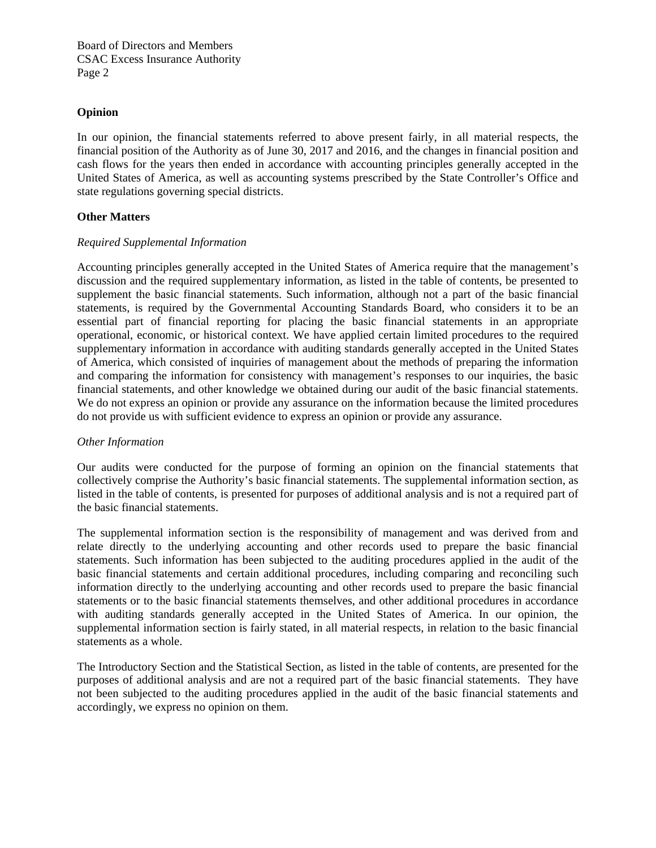Board of Directors and Members CSAC Excess Insurance Authority Page 2

## **Opinion**

In our opinion, the financial statements referred to above present fairly, in all material respects, the financial position of the Authority as of June 30, 2017 and 2016, and the changes in financial position and cash flows for the years then ended in accordance with accounting principles generally accepted in the United States of America, as well as accounting systems prescribed by the State Controller's Office and state regulations governing special districts.

## **Other Matters**

### *Required Supplemental Information*

Accounting principles generally accepted in the United States of America require that the management's discussion and the required supplementary information, as listed in the table of contents, be presented to supplement the basic financial statements. Such information, although not a part of the basic financial statements, is required by the Governmental Accounting Standards Board, who considers it to be an essential part of financial reporting for placing the basic financial statements in an appropriate operational, economic, or historical context. We have applied certain limited procedures to the required supplementary information in accordance with auditing standards generally accepted in the United States of America, which consisted of inquiries of management about the methods of preparing the information and comparing the information for consistency with management's responses to our inquiries, the basic financial statements, and other knowledge we obtained during our audit of the basic financial statements. We do not express an opinion or provide any assurance on the information because the limited procedures do not provide us with sufficient evidence to express an opinion or provide any assurance.

# *Other Information*

Our audits were conducted for the purpose of forming an opinion on the financial statements that collectively comprise the Authority's basic financial statements. The supplemental information section, as listed in the table of contents, is presented for purposes of additional analysis and is not a required part of the basic financial statements.

The supplemental information section is the responsibility of management and was derived from and relate directly to the underlying accounting and other records used to prepare the basic financial statements. Such information has been subjected to the auditing procedures applied in the audit of the basic financial statements and certain additional procedures, including comparing and reconciling such information directly to the underlying accounting and other records used to prepare the basic financial statements or to the basic financial statements themselves, and other additional procedures in accordance with auditing standards generally accepted in the United States of America. In our opinion, the supplemental information section is fairly stated, in all material respects, in relation to the basic financial statements as a whole.

The Introductory Section and the Statistical Section, as listed in the table of contents, are presented for the purposes of additional analysis and are not a required part of the basic financial statements. They have not been subjected to the auditing procedures applied in the audit of the basic financial statements and accordingly, we express no opinion on them.